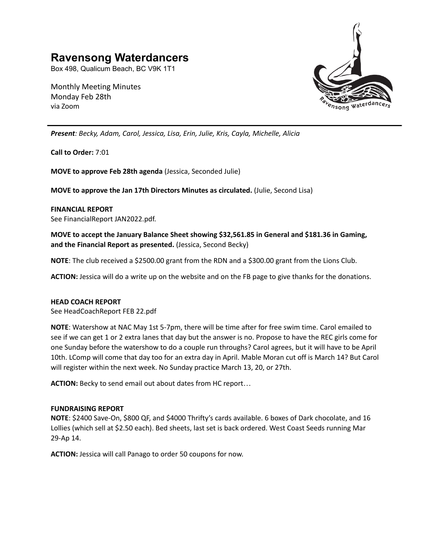# **Ravensong Waterdancers**

Box 498, Qualicum Beach, BC V9K 1T1

Monthly Meeting Minutes Monday Feb 28th via Zoom



*Present: Becky, Adam, Carol, Jessica, Lisa, Erin, Julie, Kris, Cayla, Michelle, Alicia*

**Call to Order:** 7:01

**MOVE to approve Feb 28th agenda** (Jessica, Seconded Julie)

**MOVE to approve the Jan 17th Directors Minutes as circulated.** (Julie, Second Lisa)

## **FINANCIAL REPORT**

See FinancialReport JAN2022.pdf.

**MOVE to accept the January Balance Sheet showing \$32,561.85 in General and \$181.36 in Gaming, and the Financial Report as presented.** (Jessica, Second Becky)

**NOTE**: The club received a \$2500.00 grant from the RDN and a \$300.00 grant from the Lions Club.

**ACTION:** Jessica will do a write up on the website and on the FB page to give thanks for the donations.

### **HEAD COACH REPORT**

See HeadCoachReport FEB 22.pdf

**NOTE**: Watershow at NAC May 1st 5-7pm, there will be time after for free swim time. Carol emailed to see if we can get 1 or 2 extra lanes that day but the answer is no. Propose to have the REC girls come for one Sunday before the watershow to do a couple run throughs? Carol agrees, but it will have to be April 10th. LComp will come that day too for an extra day in April. Mable Moran cut off is March 14? But Carol will register within the next week. No Sunday practice March 13, 20, or 27th.

**ACTION:** Becky to send email out about dates from HC report…

### **FUNDRAISING REPORT**

**NOTE**: \$2400 Save-On, \$800 QF, and \$4000 Thrifty's cards available. 6 boxes of Dark chocolate, and 16 Lollies (which sell at \$2.50 each). Bed sheets, last set is back ordered. West Coast Seeds running Mar 29-Ap 14.

**ACTION:** Jessica will call Panago to order 50 coupons for now.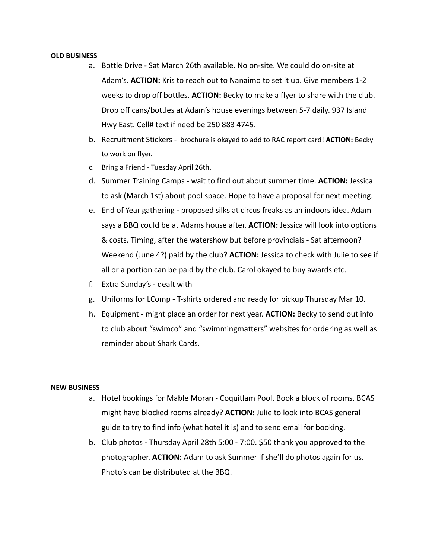#### **OLD BUSINESS**

- a. Bottle Drive Sat March 26th available. No on-site. We could do on-site at Adam's. **ACTION:** Kris to reach out to Nanaimo to set it up. Give members 1-2 weeks to drop off bottles. **ACTION:** Becky to make a flyer to share with the club. Drop off cans/bottles at Adam's house evenings between 5-7 daily. 937 Island Hwy East. Cell# text if need be 250 883 4745.
- b. Recruitment Stickers brochure is okayed to add to RAC report card! **ACTION:** Becky to work on flyer.
- c. Bring a Friend Tuesday April 26th.
- d. Summer Training Camps wait to find out about summer time. **ACTION:** Jessica to ask (March 1st) about pool space. Hope to have a proposal for next meeting.
- e. End of Year gathering proposed silks at circus freaks as an indoors idea. Adam says a BBQ could be at Adams house after. **ACTION:** Jessica will look into options & costs. Timing, after the watershow but before provincials - Sat afternoon? Weekend (June 4?) paid by the club? **ACTION:** Jessica to check with Julie to see if all or a portion can be paid by the club. Carol okayed to buy awards etc.
- f. Extra Sunday's dealt with
- g. Uniforms for LComp T-shirts ordered and ready for pickup Thursday Mar 10.
- h. Equipment might place an order for next year. **ACTION:** Becky to send out info to club about "swimco" and "swimmingmatters" websites for ordering as well as reminder about Shark Cards.

## **NEW BUSINESS**

- a. Hotel bookings for Mable Moran Coquitlam Pool. Book a block of rooms. BCAS might have blocked rooms already? **ACTION:** Julie to look into BCAS general guide to try to find info (what hotel it is) and to send email for booking.
- b. Club photos Thursday April 28th 5:00 7:00. \$50 thank you approved to the photographer. **ACTION:** Adam to ask Summer if she'll do photos again for us. Photo's can be distributed at the BBQ.